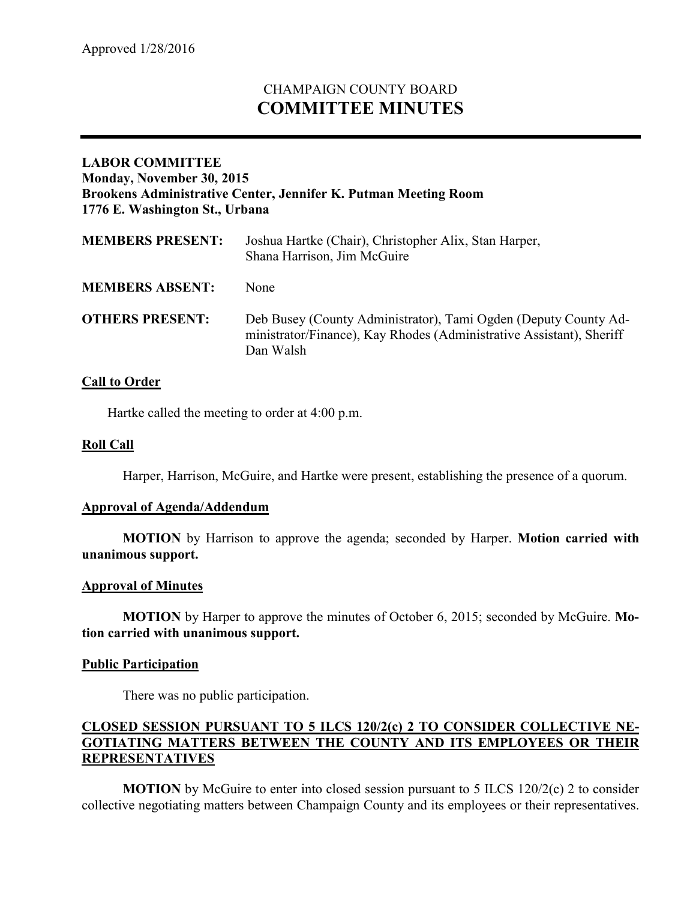# CHAMPAIGN COUNTY BOARD **COMMITTEE MINUTES**

# **LABOR COMMITTEE Monday, November 30, 2015 Brookens Administrative Center, Jennifer K. Putman Meeting Room 1776 E. Washington St., Urbana**

| <b>MEMBERS PRESENT:</b> | Joshua Hartke (Chair), Christopher Alix, Stan Harper,<br>Shana Harrison, Jim McGuire                                                                 |
|-------------------------|------------------------------------------------------------------------------------------------------------------------------------------------------|
| <b>MEMBERS ABSENT:</b>  | None                                                                                                                                                 |
| <b>OTHERS PRESENT:</b>  | Deb Busey (County Administrator), Tami Ogden (Deputy County Ad-<br>ministrator/Finance), Kay Rhodes (Administrative Assistant), Sheriff<br>Dan Walsh |

# **Call to Order**

Hartke called the meeting to order at 4:00 p.m.

## **Roll Call**

Harper, Harrison, McGuire, and Hartke were present, establishing the presence of a quorum.

#### **Approval of Agenda/Addendum**

**MOTION** by Harrison to approve the agenda; seconded by Harper. **Motion carried with unanimous support.**

#### **Approval of Minutes**

**MOTION** by Harper to approve the minutes of October 6, 2015; seconded by McGuire. **Motion carried with unanimous support.**

#### **Public Participation**

There was no public participation.

# **CLOSED SESSION PURSUANT TO 5 ILCS 120/2(c) 2 TO CONSIDER COLLECTIVE NE-GOTIATING MATTERS BETWEEN THE COUNTY AND ITS EMPLOYEES OR THEIR REPRESENTATIVES**

**MOTION** by McGuire to enter into closed session pursuant to 5 ILCS 120/2(c) 2 to consider collective negotiating matters between Champaign County and its employees or their representatives.